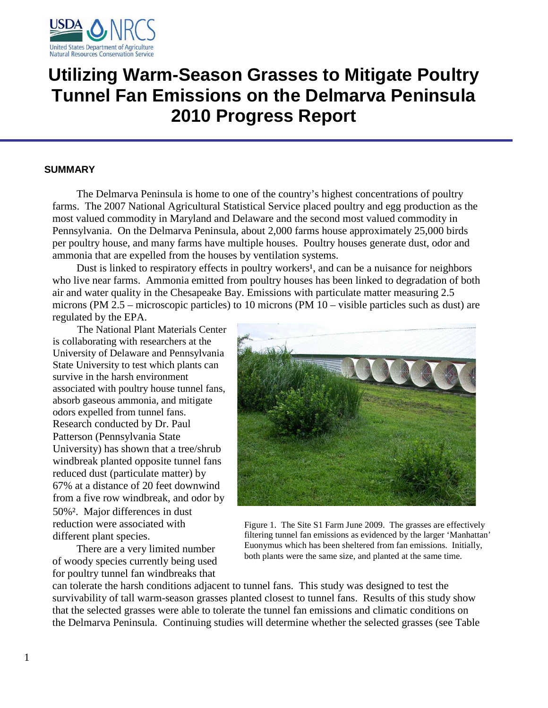

# **Utilizing Warm-Season Grasses to Mitigate Poultry Tunnel Fan Emissions on the Delmarva Peninsula 2010 Progress Report**

# **SUMMARY**

The Delmarva Peninsula is home to one of the country's highest concentrations of poultry farms. The 2007 National Agricultural Statistical Service placed poultry and egg production as the most valued commodity in Maryland and Delaware and the second most valued commodity in Pennsylvania. On the Delmarva Peninsula, about 2,000 farms house approximately 25,000 birds per poultry house, and many farms have multiple houses. Poultry houses generate dust, odor and ammonia that are expelled from the houses by ventilation systems.

Dust is linked to respiratory effects in poultry workers<sup>1</sup>, and can be a nuisance for neighbors who live near farms. Ammonia emitted from poultry houses has been linked to degradation of both air and water quality in the Chesapeake Bay. Emissions with particulate matter measuring 2.5 microns (PM 2.5 – microscopic particles) to 10 microns (PM 10 – visible particles such as dust) are regulated by the EPA.

The National Plant Materials Center is collaborating with researchers at the University of Delaware and Pennsylvania State University to test which plants can survive in the harsh environment associated with poultry house tunnel fans, absorb gaseous ammonia, and mitigate odors expelled from tunnel fans. Research conducted by Dr. Paul Patterson (Pennsylvania State University) has shown that a tree/shrub windbreak planted opposite tunnel fans reduced dust (particulate matter) by 67% at a distance of 20 feet downwind from a five row windbreak, and odor by 50%². Major differences in dust reduction were associated with different plant species.

There are a very limited number of woody species currently being used for poultry tunnel fan windbreaks that



Figure 1. The Site S1 Farm June 2009. The grasses are effectively filtering tunnel fan emissions as evidenced by the larger 'Manhattan' Euonymus which has been sheltered from fan emissions. Initially, both plants were the same size, and planted at the same time.

can tolerate the harsh conditions adjacent to tunnel fans. This study was designed to test the survivability of tall warm-season grasses planted closest to tunnel fans. Results of this study show that the selected grasses were able to tolerate the tunnel fan emissions and climatic conditions on the Delmarva Peninsula. Continuing studies will determine whether the selected grasses (see Table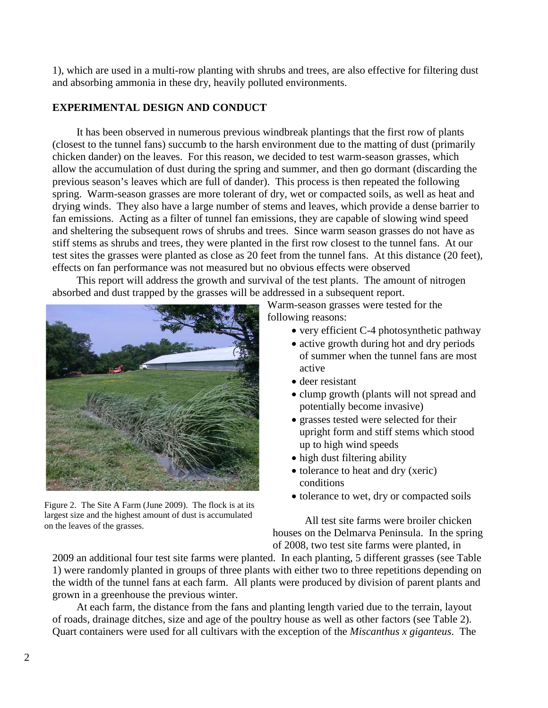1), which are used in a multi-row planting with shrubs and trees, are also effective for filtering dust and absorbing ammonia in these dry, heavily polluted environments.

# **EXPERIMENTAL DESIGN AND CONDUCT**

It has been observed in numerous previous windbreak plantings that the first row of plants (closest to the tunnel fans) succumb to the harsh environment due to the matting of dust (primarily chicken dander) on the leaves. For this reason, we decided to test warm-season grasses, which allow the accumulation of dust during the spring and summer, and then go dormant (discarding the previous season's leaves which are full of dander). This process is then repeated the following spring. Warm-season grasses are more tolerant of dry, wet or compacted soils, as well as heat and drying winds. They also have a large number of stems and leaves, which provide a dense barrier to fan emissions. Acting as a filter of tunnel fan emissions, they are capable of slowing wind speed and sheltering the subsequent rows of shrubs and trees. Since warm season grasses do not have as stiff stems as shrubs and trees, they were planted in the first row closest to the tunnel fans. At our test sites the grasses were planted as close as 20 feet from the tunnel fans. At this distance (20 feet), effects on fan performance was not measured but no obvious effects were observed

This report will address the growth and survival of the test plants. The amount of nitrogen absorbed and dust trapped by the grasses will be addressed in a subsequent report.



Figure 2. The Site A Farm (June 2009). The flock is at its largest size and the highest amount of dust is accumulated on the leaves of the grasses.

Warm-season grasses were tested for the following reasons:

- very efficient C-4 photosynthetic pathway
- active growth during hot and dry periods of summer when the tunnel fans are most active
- deer resistant
- clump growth (plants will not spread and potentially become invasive)
- grasses tested were selected for their upright form and stiff stems which stood up to high wind speeds
- high dust filtering ability
- tolerance to heat and dry (xeric) conditions
- tolerance to wet, dry or compacted soils

All test site farms were broiler chicken houses on the Delmarva Peninsula. In the spring of 2008, two test site farms were planted, in

2009 an additional four test site farms were planted. In each planting, 5 different grasses (see Table 1) were randomly planted in groups of three plants with either two to three repetitions depending on the width of the tunnel fans at each farm. All plants were produced by division of parent plants and grown in a greenhouse the previous winter.

At each farm, the distance from the fans and planting length varied due to the terrain, layout of roads, drainage ditches, size and age of the poultry house as well as other factors (see Table 2). Quart containers were used for all cultivars with the exception of the *Miscanthus x giganteus*. The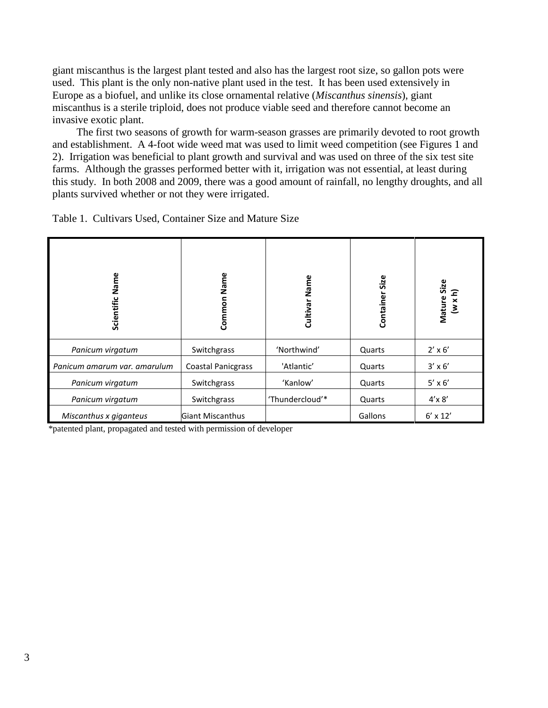giant miscanthus is the largest plant tested and also has the largest root size, so gallon pots were used. This plant is the only non-native plant used in the test. It has been used extensively in Europe as a biofuel, and unlike its close ornamental relative (*Miscanthus sinensis*), giant miscanthus is a sterile triploid, does not produce viable seed and therefore cannot become an invasive exotic plant.

The first two seasons of growth for warm-season grasses are primarily devoted to root growth and establishment. A 4-foot wide weed mat was used to limit weed competition (see Figures 1 and 2). Irrigation was beneficial to plant growth and survival and was used on three of the six test site farms. Although the grasses performed better with it, irrigation was not essential, at least during this study. In both 2008 and 2009, there was a good amount of rainfall, no lengthy droughts, and all plants survived whether or not they were irrigated.

| Name<br>Scientific           | Common Name               | Cultivar Name   | Size<br>Container | Mature Size<br>$(w \times h)$ |
|------------------------------|---------------------------|-----------------|-------------------|-------------------------------|
| Panicum virgatum             | Switchgrass               | 'Northwind'     | Quarts            | $2' \times 6'$                |
| Panicum amarum var. amarulum | <b>Coastal Panicgrass</b> | 'Atlantic'      | Quarts            | $3' \times 6'$                |
| Panicum virgatum             | Switchgrass               | 'Kanlow'        | Quarts            | $5' \times 6'$                |
| Panicum virgatum             | Switchgrass               | 'Thundercloud'* | Quarts            | $4'$ x $8'$                   |
| Miscanthus x giganteus       | <b>Giant Miscanthus</b>   |                 | Gallons           | $6' \times 12'$               |

Table 1. Cultivars Used, Container Size and Mature Size

\*patented plant, propagated and tested with permission of developer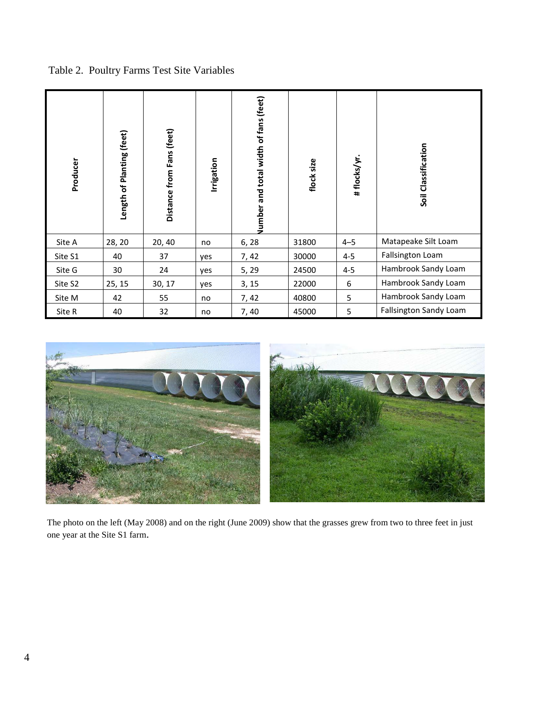Table 2. Poultry Farms Test Site Variables

| Producer | Length of Planting (feet) | Distance from Fans (feet) | Irrigation | and total width of fans (feet)<br>Jumber | flock size | # flocks/yr. | Soil Classification    |
|----------|---------------------------|---------------------------|------------|------------------------------------------|------------|--------------|------------------------|
| Site A   | 28, 20                    | 20, 40                    | no         | 6, 28                                    | 31800      | $4 - 5$      | Matapeake Silt Loam    |
| Site S1  | 40                        | 37                        | yes        | 7, 42                                    | 30000      | $4 - 5$      | Fallsington Loam       |
| Site G   | 30                        | 24                        | yes        | 5, 29                                    | 24500      | $4 - 5$      | Hambrook Sandy Loam    |
| Site S2  | 25, 15                    | 30, 17                    | yes        | 3, 15                                    | 22000      | 6            | Hambrook Sandy Loam    |
| Site M   | 42                        | 55                        | no         | 7, 42                                    | 40800      | 5            | Hambrook Sandy Loam    |
| Site R   | 40                        | 32                        | no         | 7,40                                     | 45000      | 5            | Fallsington Sandy Loam |



The photo on the left (May 2008) and on the right (June 2009) show that the grasses grew from two to three feet in just one year at the Site S1 farm.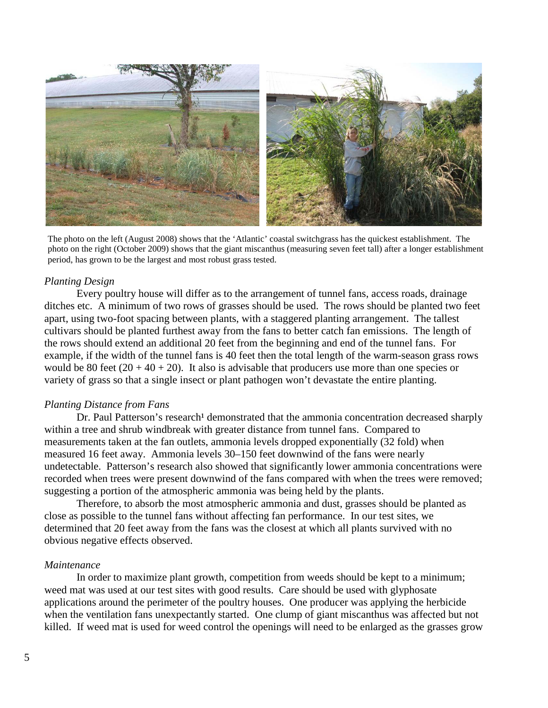

The photo on the left (August 2008) shows that the 'Atlantic' coastal switchgrass has the quickest establishment. The photo on the right (October 2009) shows that the giant miscanthus (measuring seven feet tall) after a longer establishment period, has grown to be the largest and most robust grass tested.

#### *Planting Design*

Every poultry house will differ as to the arrangement of tunnel fans, access roads, drainage ditches etc. A minimum of two rows of grasses should be used. The rows should be planted two feet apart, using two-foot spacing between plants, with a staggered planting arrangement. The tallest cultivars should be planted furthest away from the fans to better catch fan emissions. The length of the rows should extend an additional 20 feet from the beginning and end of the tunnel fans. For example, if the width of the tunnel fans is 40 feet then the total length of the warm-season grass rows would be 80 feet  $(20 + 40 + 20)$ . It also is advisable that producers use more than one species or variety of grass so that a single insect or plant pathogen won't devastate the entire planting.

#### *Planting Distance from Fans*

Dr. Paul Patterson's research<sup>1</sup> demonstrated that the ammonia concentration decreased sharply within a tree and shrub windbreak with greater distance from tunnel fans. Compared to measurements taken at the fan outlets, ammonia levels dropped exponentially (32 fold) when measured 16 feet away. Ammonia levels 30–150 feet downwind of the fans were nearly undetectable. Patterson's research also showed that significantly lower ammonia concentrations were recorded when trees were present downwind of the fans compared with when the trees were removed; suggesting a portion of the atmospheric ammonia was being held by the plants.

Therefore, to absorb the most atmospheric ammonia and dust, grasses should be planted as close as possible to the tunnel fans without affecting fan performance. In our test sites, we determined that 20 feet away from the fans was the closest at which all plants survived with no obvious negative effects observed.

#### *Maintenance*

In order to maximize plant growth, competition from weeds should be kept to a minimum; weed mat was used at our test sites with good results. Care should be used with glyphosate applications around the perimeter of the poultry houses. One producer was applying the herbicide when the ventilation fans unexpectantly started. One clump of giant miscanthus was affected but not killed. If weed mat is used for weed control the openings will need to be enlarged as the grasses grow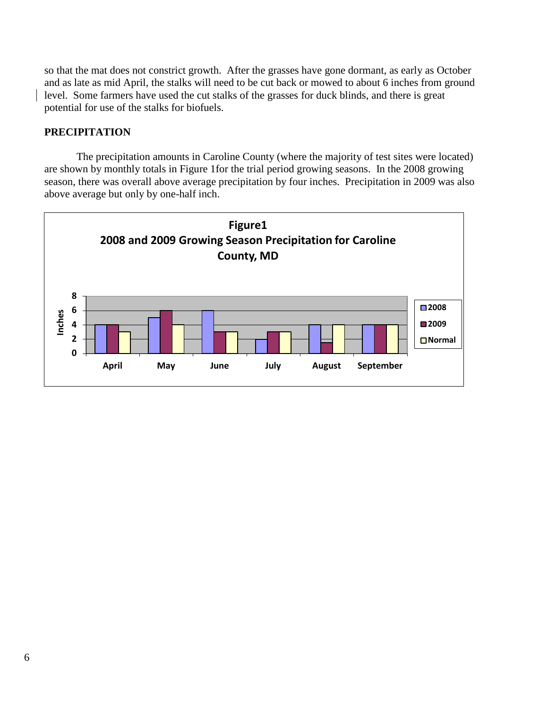so that the mat does not constrict growth. After the grasses have gone dormant, as early as October and as late as mid April, the stalks will need to be cut back or mowed to about 6 inches from ground level. Some farmers have used the cut stalks of the grasses for duck blinds, and there is great potential for use of the stalks for biofuels.

# **PRECIPITATION**

The precipitation amounts in Caroline County (where the majority of test sites were located) are shown by monthly totals in Figure 1for the trial period growing seasons. In the 2008 growing season, there was overall above average precipitation by four inches. Precipitation in 2009 was also above average but only by one-half inch.